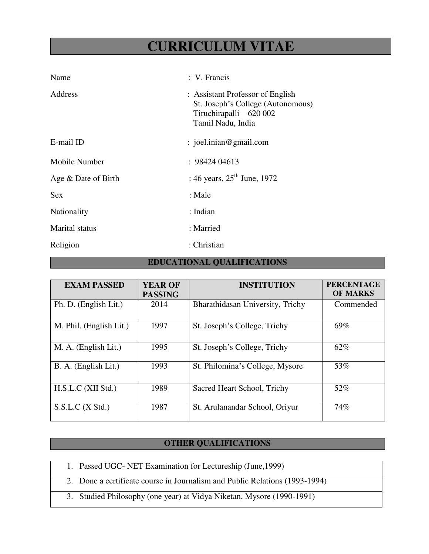# **CURRICULUM VITAE**

| Name                | : V. Francis                                                                                                           |
|---------------------|------------------------------------------------------------------------------------------------------------------------|
| Address             | : Assistant Professor of English<br>St. Joseph's College (Autonomous)<br>Tiruchirapalli – 620 002<br>Tamil Nadu, India |
| E-mail ID           | $:$ joel.inian@gmail.com                                                                                               |
| Mobile Number       | : 9842404613                                                                                                           |
| Age & Date of Birth | : 46 years, $25^{\text{th}}$ June, 1972                                                                                |
| <b>Sex</b>          | : Male                                                                                                                 |
| Nationality         | : Indian                                                                                                               |
| Marital status      | : Married                                                                                                              |
| Religion            | : Christian                                                                                                            |

### **EDUCATIONAL QUALIFICATIONS**

| <b>EXAM PASSED</b>      | <b>YEAR OF</b><br><b>PASSING</b> | <b>INSTITUTION</b>               | <b>PERCENTAGE</b><br><b>OF MARKS</b> |
|-------------------------|----------------------------------|----------------------------------|--------------------------------------|
| Ph. D. (English Lit.)   | 2014                             | Bharathidasan University, Trichy | Commended                            |
| M. Phil. (English Lit.) | 1997                             | St. Joseph's College, Trichy     | 69%                                  |
| M. A. (English Lit.)    | 1995                             | St. Joseph's College, Trichy     | 62%                                  |
| B. A. (English Lit.)    | 1993                             | St. Philomina's College, Mysore  | 53%                                  |
| H.S.L.C (XII Std.)      | 1989                             | Sacred Heart School, Trichy      | 52%                                  |
| S.S.L.C (X Std.)        | 1987                             | St. Arulanandar School, Oriyur   | 74%                                  |

### **OTHER QUALIFICATIONS**

- 1. Passed UGC- NET Examination for Lectureship (June,1999)
- 2. Done a certificate course in Journalism and Public Relations (1993-1994)
- 3. Studied Philosophy (one year) at Vidya Niketan, Mysore (1990-1991)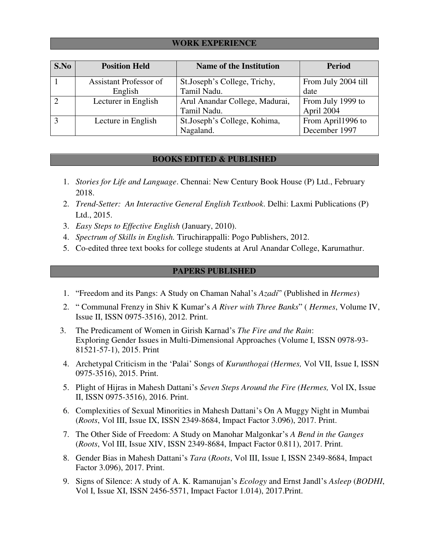### **WORK EXPERIENCE**

| S.No         | <b>Position Held</b>          | <b>Name of the Institution</b> | <b>Period</b>       |
|--------------|-------------------------------|--------------------------------|---------------------|
|              | <b>Assistant Professor of</b> | St.Joseph's College, Trichy,   | From July 2004 till |
|              | English                       | Tamil Nadu.                    | date                |
|              | Lecturer in English           | Arul Anandar College, Madurai, | From July 1999 to   |
|              |                               | Tamil Nadu.                    | April 2004          |
| $\mathbf{a}$ | Lecture in English            | St.Joseph's College, Kohima,   | From April1996 to   |
|              |                               | Nagaland.                      | December 1997       |

### **BOOKS EDITED & PUBLISHED**

- 1. *Stories for Life and Language*. Chennai: New Century Book House (P) Ltd., February 2018.
- 2. *Trend-Setter: An Interactive General English Textbook*. Delhi: Laxmi Publications (P) Ltd., 2015.
- 3. *Easy Steps to Effective English* (January, 2010).
- 4. *Spectrum of Skills in English.* Tiruchirappalli: Pogo Publishers, 2012.
- 5. Co-edited three text books for college students at Arul Anandar College, Karumathur.

### **PAPERS PUBLISHED**

- 1. "Freedom and its Pangs: A Study on Chaman Nahal's *Azadi*" (Published in *Hermes*)
- 2. " Communal Frenzy in Shiv K Kumar's *A River with Three Banks*" ( *Hermes*, Volume IV, Issue II, ISSN 0975-3516), 2012. Print.
- 3. The Predicament of Women in Girish Karnad's *The Fire and the Rain*: Exploring Gender Issues in Multi-Dimensional Approaches (Volume I, ISSN 0978-93- 81521-57-1), 2015. Print
- 4. Archetypal Criticism in the 'Palai' Songs of *Kurunthogai (Hermes,* Vol VII, Issue I, ISSN 0975-3516), 2015. Print.
- 5. Plight of Hijras in Mahesh Dattani's *Seven Steps Around the Fire (Hermes,* Vol IX, Issue II, ISSN 0975-3516), 2016. Print.
- 6. Complexities of Sexual Minorities in Mahesh Dattani's On A Muggy Night in Mumbai (*Roots*, Vol III, Issue IX, ISSN 2349-8684, Impact Factor 3.096), 2017. Print.
- 7. The Other Side of Freedom: A Study on Manohar Malgonkar's *A Bend in the Ganges* (*Roots*, Vol III, Issue XIV, ISSN 2349-8684, Impact Factor 0.811), 2017. Print.
- 8. Gender Bias in Mahesh Dattani's *Tara* (*Roots*, Vol III, Issue I, ISSN 2349-8684, Impact Factor 3.096), 2017. Print.
- 9. Signs of Silence: A study of A. K. Ramanujan's *Ecology* and Ernst Jandl's *Asleep* (*BODHI*, Vol I, Issue XI, ISSN 2456-5571, Impact Factor 1.014), 2017.Print.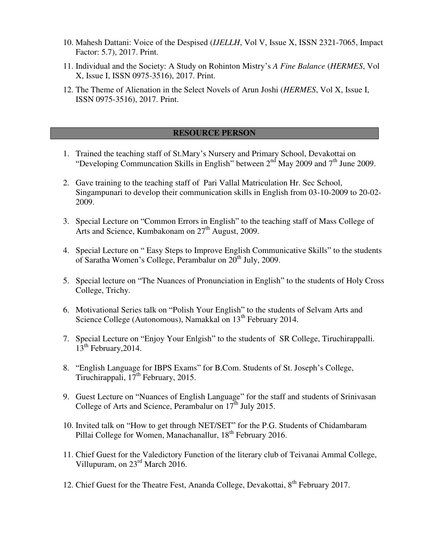- 10. Mahesh Dattani: Voice of the Despised (*IJELLH*, Vol V, Issue X, ISSN 2321-7065, Impact Factor: 5.7), 2017. Print.
- 11. Individual and the Society: A Study on Rohinton Mistry's *A Fine Balance* (*HERMES*, Vol X, Issue I, ISSN 0975-3516), 2017. Print.
- 12. The Theme of Alienation in the Select Novels of Arun Joshi (*HERMES*, Vol X, Issue I, ISSN 0975-3516), 2017. Print.

### **RESOURCE PERSON**

- 1. Trained the teaching staff of St.Mary's Nursery and Primary School, Devakottai on "Developing Communcation Skills in English" between  $2<sup>nd</sup>$  May 2009 and  $7<sup>th</sup>$  June 2009.
- 2. Gave training to the teaching staff of Pari Vallal Matriculation Hr. Sec School, Singampunari to develop their communication skills in English from 03-10-2009 to 20-02- 2009.
- 3. Special Lecture on "Common Errors in English" to the teaching staff of Mass College of Arts and Science, Kumbakonam on 27<sup>th</sup> August, 2009.
- 4. Special Lecture on " Easy Steps to Improve English Communicative Skills" to the students of Saratha Women's College, Perambalur on  $20<sup>th</sup>$  July, 2009.
- 5. Special lecture on "The Nuances of Pronunciation in English" to the students of Holy Cross College, Trichy.
- 6. Motivational Series talk on "Polish Your English" to the students of Selvam Arts and Science College (Autonomous), Namakkal on 13<sup>th</sup> February 2014.
- 7. Special Lecture on "Enjoy Your Enlgish" to the students of SR College, Tiruchirappalli.  $13<sup>th</sup>$  February, 2014.
- 8. "English Language for IBPS Exams" for B.Com. Students of St. Joseph's College, Tiruchirappali,  $17<sup>th</sup>$  February, 2015.
- 9. Guest Lecture on "Nuances of English Language" for the staff and students of Srinivasan College of Arts and Science, Perambalur on 17<sup>th</sup> July 2015.
- 10. Invited talk on "How to get through NET/SET" for the P.G. Students of Chidambaram Pillai College for Women, Manachanallur, 18<sup>th</sup> February 2016.
- 11. Chief Guest for the Valedictory Function of the literary club of Teivanai Ammal College, Villupuram, on  $23^{\text{rd}}$  March 2016.
- 12. Chief Guest for the Theatre Fest, Ananda College, Devakottai, 8<sup>th</sup> February 2017.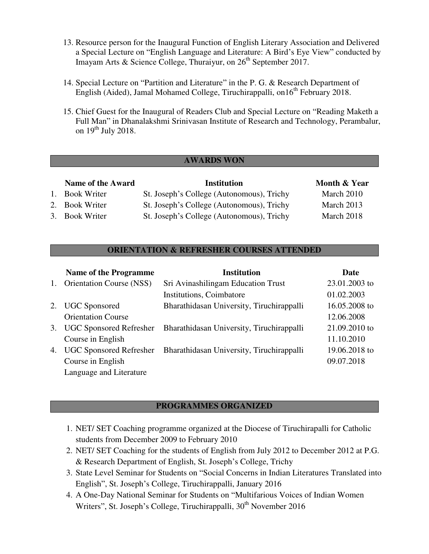- 13. Resource person for the Inaugural Function of English Literary Association and Delivered a Special Lecture on "English Language and Literature: A Bird's Eye View" conducted by Imayam Arts & Science College, Thuraiyur, on  $26<sup>th</sup>$  September 2017.
- 14. Special Lecture on "Partition and Literature" in the P. G. & Research Department of English (Aided), Jamal Mohamed College, Tiruchirappalli, on16<sup>th</sup> February 2018.
- 15. Chief Guest for the Inaugural of Readers Club and Special Lecture on "Reading Maketh a Full Man" in Dhanalakshmi Srinivasan Institute of Research and Technology, Perambalur, on  $19<sup>th</sup>$  July 2018.

### **AWARDS WON**

### **Name of the Award Communisty Communisty Communisty Communisty Communisty Communisty Communisty Communisty Communisty Communisty Communisty Communisty Communisty Communisty Communisty Communisty Communisty Communisty Commu**

1. Book Writer St. Joseph's College (Autonomous), Trichy March 2010 2. Book Writer St. Joseph's College (Autonomous), Trichy March 2013 3. Book Writer St. Joseph's College (Autonomous), Trichy March 2018

# **ORIENTATION & REFRESHER COURSES ATTENDED**

|             | <b>Name of the Programme</b>    | <b>Institution</b>                                                | Date          |
|-------------|---------------------------------|-------------------------------------------------------------------|---------------|
| $1_{\cdot}$ | <b>Orientation Course (NSS)</b> | Sri Avinashilingam Education Trust                                | 23.01.2003 to |
|             |                                 | Institutions, Coimbatore                                          | 01.02.2003    |
|             | 2. UGC Sponsored                | Bharathidasan University, Tiruchirappalli                         | 16.05.2008 to |
|             | <b>Orientation Course</b>       |                                                                   | 12.06.2008    |
| 3.          |                                 | UGC Sponsored Refresher Bharathidasan University, Tiruchirappalli | 21.09.2010 to |
|             | Course in English               |                                                                   | 11.10.2010    |
| 4.          | <b>UGC Sponsored Refresher</b>  | Bharathidasan University, Tiruchirappalli                         | 19.06.2018 to |
|             | Course in English               |                                                                   | 09.07.2018    |
|             | Language and Literature         |                                                                   |               |

### **PROGRAMMES ORGANIZED**

- 1. NET/ SET Coaching programme organized at the Diocese of Tiruchirapalli for Catholic students from December 2009 to February 2010
- 2. NET/ SET Coaching for the students of English from July 2012 to December 2012 at P.G. & Research Department of English, St. Joseph's College, Trichy
- 3. State Level Seminar for Students on "Social Concerns in Indian Literatures Translated into English", St. Joseph's College, Tiruchirappalli, January 2016
- 4. A One-Day National Seminar for Students on "Multifarious Voices of Indian Women Writers", St. Joseph's College, Tiruchirappalli, 30<sup>th</sup> November 2016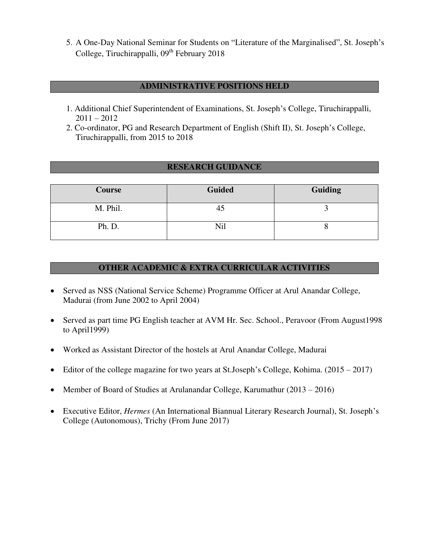5. A One-Day National Seminar for Students on "Literature of the Marginalised", St. Joseph's College, Tiruchirappalli, 09<sup>th</sup> February 2018

### **ADMINISTRATIVE POSITIONS HELD**

- 1. Additional Chief Superintendent of Examinations, St. Joseph's College, Tiruchirappalli,  $2011 - 2012$
- 2. Co-ordinator, PG and Research Department of English (Shift II), St. Joseph's College, Tiruchirappalli, from 2015 to 2018

### **RESEARCH GUIDANCE**

| <b>Course</b> | <b>Guided</b> | Guiding |
|---------------|---------------|---------|
| M. Phil.      | 45            |         |
| Ph. D.        | Nil           |         |

### **OTHER ACADEMIC & EXTRA CURRICULAR ACTIVITIES**

- Served as NSS (National Service Scheme) Programme Officer at Arul Anandar College, Madurai (from June 2002 to April 2004)
- Served as part time PG English teacher at AVM Hr. Sec. School., Peravoor (From August1998 to April1999)
- Worked as Assistant Director of the hostels at Arul Anandar College, Madurai
- Editor of the college magazine for two years at St.Joseph's College, Kohima. (2015 2017)
- Member of Board of Studies at Arulanandar College, Karumathur (2013 2016)
- Executive Editor, *Hermes* (An International Biannual Literary Research Journal), St. Joseph's College (Autonomous), Trichy (From June 2017)